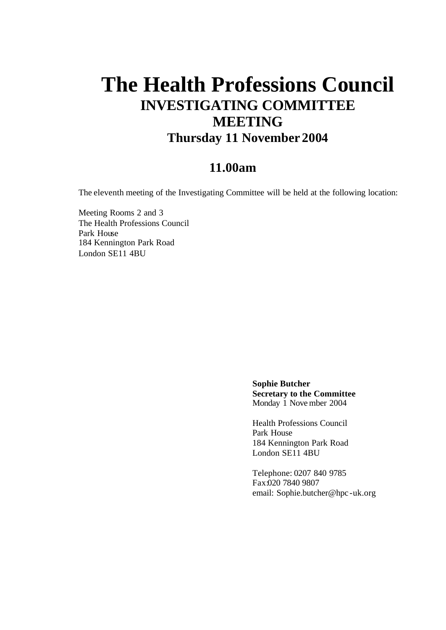# **The Health Professions Council INVESTIGATING COMMITTEE MEETING Thursday 11 November 2004**

## **11.00am**

The eleventh meeting of the Investigating Committee will be held at the following location:

Meeting Rooms 2 and 3 The Health Professions Council Park House 184 Kennington Park Road London SE11 4BU

> **Sophie Butcher Secretary to the Committee** Monday 1 Nove mber 2004

Health Professions Council Park House 184 Kennington Park Road London SE11 4BU

Telephone: 0207 840 9785 Fax:020 7840 9807 email: Sophie.butcher@hpc -uk.org